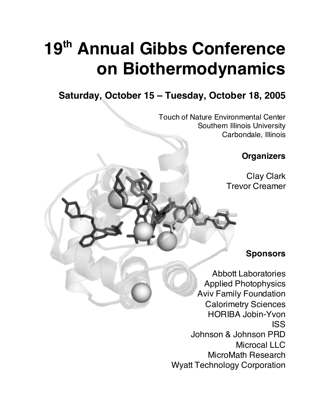# **19th Annual Gibbs Conference on Biothermodynamics**

# **Saturday, October 15 – Tuesday, October 18, 2005**

Touch of Nature Environmental Center Southern Illinois University Carbondale, Illinois

**Organizers**

Clay Clark Trevor Creamer

**Sponsors**

Abbott Laboratories Applied Photophysics Aviv Family Foundation Calorimetry Sciences HORIBA Jobin-Yvon ISS Johnson & Johnson PRD Microcal LLC MicroMath Research Wyatt Technology Corporation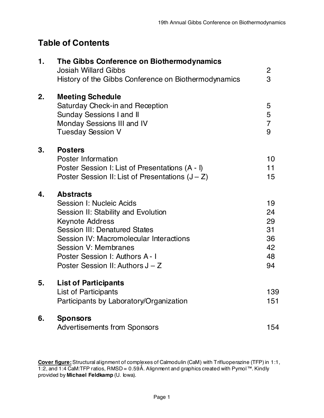# **Table of Contents**

| $\mathbf 1$ . | The Gibbs Conference on Biothermodynamics<br><b>Josiah Willard Gibbs</b><br>History of the Gibbs Conference on Biothermodynamics                                                                                                                                                                       | $\overline{c}$<br>3                          |
|---------------|--------------------------------------------------------------------------------------------------------------------------------------------------------------------------------------------------------------------------------------------------------------------------------------------------------|----------------------------------------------|
| 2.            | <b>Meeting Schedule</b><br><b>Saturday Check-in and Reception</b><br><b>Sunday Sessions I and II</b><br><b>Monday Sessions III and IV</b><br><b>Tuesday Session V</b>                                                                                                                                  | 5<br>5<br>$\overline{7}$<br>9                |
| 3.            | <b>Posters</b><br>Poster Information<br>Poster Session I: List of Presentations (A - I)<br>Poster Session II: List of Presentations $(J - Z)$                                                                                                                                                          | 10<br>11<br>15                               |
| 4.            | <b>Abstracts</b><br>Session I: Nucleic Acids<br>Session II: Stability and Evolution<br><b>Keynote Address</b><br><b>Session III: Denatured States</b><br>Session IV: Macromolecular Interactions<br><b>Session V: Membranes</b><br>Poster Session I: Authors A - I<br>Poster Session II: Authors J – Z | 19<br>24<br>29<br>31<br>36<br>42<br>48<br>94 |
| 5.            | <b>List of Participants</b><br><b>List of Participants</b><br>Participants by Laboratory/Organization                                                                                                                                                                                                  | 139<br>151                                   |
| 6.            | <b>Sponsors</b><br><b>Advertisements from Sponsors</b>                                                                                                                                                                                                                                                 | 154                                          |

**Cover figure:** Structural alignment of complexes of Calmodulin (CaM) with Trifluoperazine (TFP) in 1:1, 1:2, and 1:4 CaM:TFP ratios, RMSD = 0.59Ǻ. Alignment and graphics created with Pymol™. Kindly provided by **Michael Feldkamp** (U. Iowa).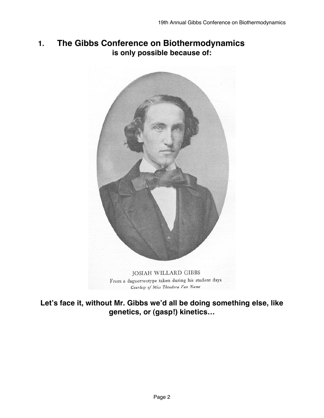# **1. The Gibbs Conference on Biothermodynamics is only possible because of:**



From a daguerreotype taken during his student days Courtesy of Miss Theodora Van Name

**Let's face it, without Mr. Gibbs we'd all be doing something else, like genetics, or (gasp!) kinetics…**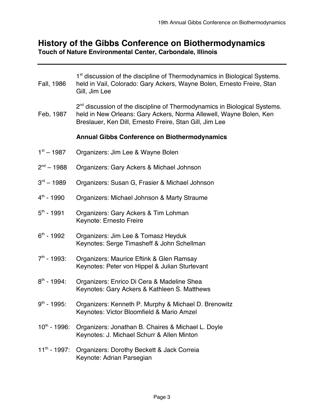# **History of the Gibbs Conference on Biothermodynamics**

**Touch of Nature Environmental Center, Carbondale, Illinois**

| Fall, 1986               | 1 <sup>st</sup> discussion of the discipline of Thermodynamics in Biological Systems.<br>held in Vail, Colorado: Gary Ackers, Wayne Bolen, Ernesto Freire, Stan<br>Gill, Jim Lee                                       |
|--------------------------|------------------------------------------------------------------------------------------------------------------------------------------------------------------------------------------------------------------------|
| Feb, 1987                | 2 <sup>nd</sup> discussion of the discipline of Thermodynamics in Biological Systems.<br>held in New Orleans: Gary Ackers, Norma Allewell, Wayne Bolen, Ken<br>Breslauer, Ken Dill, Ernesto Freire, Stan Gill, Jim Lee |
|                          | <b>Annual Gibbs Conference on Biothermodynamics</b>                                                                                                                                                                    |
| $1st - 1987$             | Organizers: Jim Lee & Wayne Bolen                                                                                                                                                                                      |
| $2^{nd} - 1988$          | Organizers: Gary Ackers & Michael Johnson                                                                                                                                                                              |
| $3rd - 1989$             | Organizers: Susan G, Frasier & Michael Johnson                                                                                                                                                                         |
| $4^{th}$ - 1990          | Organizers: Michael Johnson & Marty Straume                                                                                                                                                                            |
| $5^{th}$ - 1991          | Organizers: Gary Ackers & Tim Lohman<br>Keynote: Ernesto Freire                                                                                                                                                        |
| $6th - 1992$             | Organizers: Jim Lee & Tomasz Heyduk<br>Keynotes: Serge Timasheff & John Schellman                                                                                                                                      |
| $7th - 1993$ :           | Organizers: Maurice Eftink & Glen Ramsay<br>Keynotes: Peter von Hippel & Julian Sturtevant                                                                                                                             |
| $8^{th}$ - 1994:         | Organizers: Enrico Di Cera & Madeline Shea<br>Keynotes: Gary Ackers & Kathleen S. Matthews                                                                                                                             |
| $9^{th}$ - 1995:         | Organizers: Kenneth P. Murphy & Michael D. Brenowitz<br>Keynotes: Victor Bloomfield & Mario Amzel                                                                                                                      |
| $10^{\text{th}}$ - 1996: | Organizers: Jonathan B. Chaires & Michael L. Doyle<br>Keynotes: J. Michael Schurr & Allen Minton                                                                                                                       |
| $11^{\text{th}}$ - 1997: | Organizers: Dorothy Beckett & Jack Correia<br>Keynote: Adrian Parsegian                                                                                                                                                |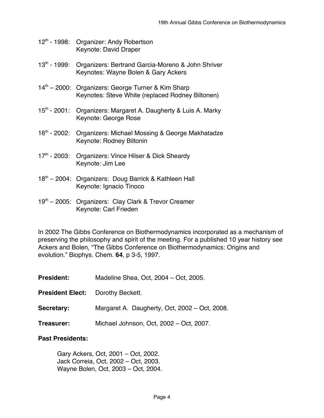- 12<sup>th</sup> 1998: Organizer: Andy Robertson Keynote: David Draper
- 13<sup>th</sup> 1999: Organizers: Bertrand Garcia-Moreno & John Shriver Keynotes: Wayne Bolen & Gary Ackers
- $14<sup>th</sup> 2000$ : Organizers: George Turner & Kim Sharp Keynotes: Steve White (replaced Rodney Biltonen)
- 15<sup>th</sup> 2001: Organizers: Margaret A. Daugherty & Luis A. Marky Keynote: George Rose
- 16<sup>th</sup> 2002: Organizers: Michael Mossing & George Makhatadze Keynote: Rodney Biltonin
- 17<sup>th</sup> 2003: Organizers: Vince Hilser & Dick Sheardy Keynote: Jim Lee
- 18<sup>th</sup> 2004: Organizers: Doug Barrick & Kathleen Hall Keynote: Ignacio Tinoco
- 19<sup>th</sup> 2005: Organizers: Clay Clark & Trevor Creamer Keynote: Carl Frieden

In 2002 The Gibbs Conference on Biothermodynamics incorporated as a mechanism of preserving the philosophy and spirit of the meeting. For a published 10 year history see Ackers and Bolen, "The Gibbs Conference on Biothermodynamics: Origins and evolution." Biophys. Chem. **64**, p 3-5, 1997.

- **President:** Madeline Shea, Oct, 2004 Oct, 2005.
- **President Elect:** Dorothy Beckett.
- **Secretary:** Margaret A. Daugherty, Oct, 2002 Oct, 2008.
- **Treasurer:** Michael Johnson, Oct, 2002 Oct, 2007.

#### **Past Presidents:**

Gary Ackers, Oct, 2001 – Oct, 2002. Jack Correia, Oct, 2002 – Oct, 2003. Wayne Bolen, Oct, 2003 – Oct, 2004.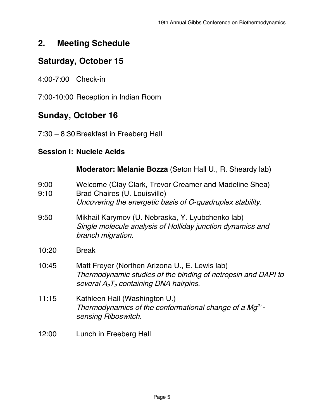# **2. Meeting Schedule**

# **Saturday, October 15**

4:00-7:00 Check-in

7:00-10:00 Reception in Indian Room

# **Sunday, October 16**

7:30 - 8:30 Breakfast in Freeberg Hall

### **Session I: Nucleic Acids**

|              | Moderator: Melanie Bozza (Seton Hall U., R. Sheardy lab)                                                                                                     |
|--------------|--------------------------------------------------------------------------------------------------------------------------------------------------------------|
| 9:00<br>9:10 | Welcome (Clay Clark, Trevor Creamer and Madeline Shea)<br>Brad Chaires (U. Louisville)<br>Uncovering the energetic basis of G-quadruplex stability.          |
| 9:50         | Mikhail Karymov (U. Nebraska, Y. Lyubchenko lab)<br>Single molecule analysis of Holliday junction dynamics and<br>branch migration.                          |
| 10:20        | <b>Break</b>                                                                                                                                                 |
| 10:45        | Matt Freyer (Northen Arizona U., E. Lewis lab)<br>Thermodynamic studies of the binding of netropsin and DAPI to<br>several $A_2T_2$ containing DNA hairpins. |
| 11:15        | Kathleen Hall (Washington U.)<br>Thermodynamics of the conformational change of a $Mg^{2+}$ -<br>sensing Riboswitch.                                         |
|              |                                                                                                                                                              |

12:00 Lunch in Freeberg Hall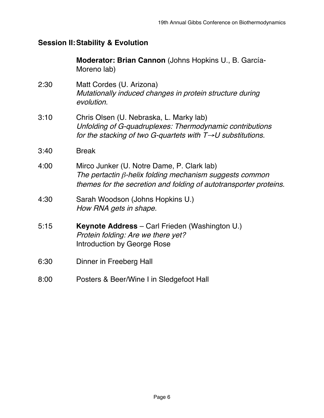#### **Session II:Stability & Evolution**

**Moderator: Brian Cannon** (Johns Hopkins U., B. García-Moreno lab)

- 2:30 Matt Cordes (U. Arizona) Mutationally induced changes in protein structure during evolution.
- 3:10 Chris Olsen (U. Nebraska, L. Marky lab) Unfolding of G-quadruplexes: Thermodynamic contributions for the stacking of two G-quartets with T→U substitutions.
- 3:40 Break
- 4:00 Mirco Junker (U. Notre Dame, P. Clark lab) The pertactin β-helix folding mechanism suggests common themes for the secretion and folding of autotransporter proteins.
- 4:30 Sarah Woodson (Johns Hopkins U.) How RNA gets in shape.
- 5:15 **Keynote Address** Carl Frieden (Washington U.) Protein folding: Are we there yet? Introduction by George Rose
- 6:30 Dinner in Freeberg Hall
- 8:00 Posters & Beer/Wine I in Sledgefoot Hall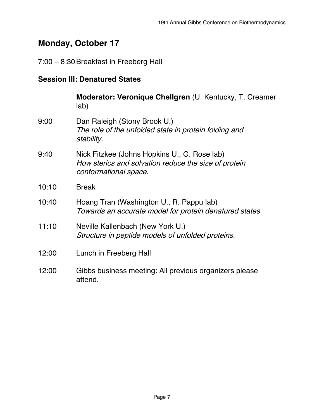# **Monday, October 17**

# 7:00 - 8:30 Breakfast in Freeberg Hall

#### **Session III: Denatured States**

|       | Moderator: Veronique Chellgren (U. Kentucky, T. Creamer<br>lab)                                                               |
|-------|-------------------------------------------------------------------------------------------------------------------------------|
| 9:00  | Dan Raleigh (Stony Brook U.)<br>The role of the unfolded state in protein folding and<br>stability.                           |
| 9:40  | Nick Fitzkee (Johns Hopkins U., G. Rose lab)<br>How sterics and solvation reduce the size of protein<br>conformational space. |
| 10:10 | <b>Break</b>                                                                                                                  |
| 10:40 | Hoang Tran (Washington U., R. Pappu lab)<br>Towards an accurate model for protein denatured states.                           |
| 11:10 | Neville Kallenbach (New York U.)<br>Structure in peptide models of unfolded proteins.                                         |
| 12:00 | Lunch in Freeberg Hall                                                                                                        |
| 12:00 | Gibbs business meeting: All previous organizers please<br>attend.                                                             |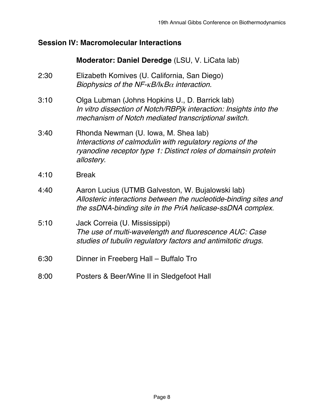#### **Session IV: Macromolecular Interactions**

#### **Moderator: Daniel Deredge** (LSU, V. LiCata lab)

- 2:30 Elizabeth Komives (U. California, San Diego) Biophysics of the NF- $\kappa$ B/I $\kappa$ B $\alpha$  interaction.
- 3:10 Olga Lubman (Johns Hopkins U., D. Barrick lab) In vitro dissection of Notch/RBPjk interaction: Insights into the mechanism of Notch mediated transcriptional switch.
- 3:40 Rhonda Newman (U. Iowa, M. Shea lab) Interactions of calmodulin with regulatory regions of the ryanodine receptor type 1: Distinct roles of domainsin protein allostery.
- 4:10 Break
- 4:40 Aaron Lucius (UTMB Galveston, W. Bujalowski lab) Allosteric interactions between the nucleotide-binding sites and the ssDNA-binding site in the PriA helicase-ssDNA complex.
- 5:10 Jack Correia (U. Mississippi) The use of multi-wavelength and fluorescence AUC: Case studies of tubulin regulatory factors and antimitotic drugs.
- 6:30 Dinner in Freeberg Hall Buffalo Tro
- 8:00 Posters & Beer/Wine II in Sledgefoot Hall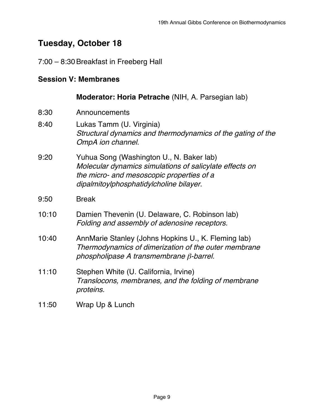# **Tuesday, October 18**

#### 7:00 – 8:30Breakfast in Freeberg Hall

#### **Session V: Membranes**

#### **Moderator: Horia Petrache** (NIH, A. Parsegian lab)

- 8:30 Announcements
- 8:40 Lukas Tamm (U. Virginia) Structural dynamics and thermodynamics of the gating of the OmpA ion channel.
- 9:20 Yuhua Song (Washington U., N. Baker lab) Molecular dynamics simulations of salicylate effects on the micro- and mesoscopic properties of <sup>a</sup> dipalmitoylphosphatidylcholine bilayer.
- 9:50 Break
- 10:10 Damien Thevenin (U. Delaware, C. Robinson lab) Folding and assembly of adenosine receptors.
- 10:40 AnnMarie Stanley (Johns Hopkins U., K. Fleming lab) Thermodynamics of dimerization of the outer membrane phospholipase A transmembrane β-barrel.
- 11:10 Stephen White (U. California, Irvine) Translocons, membranes, and the folding of membrane proteins.
- 11:50 Wrap Up & Lunch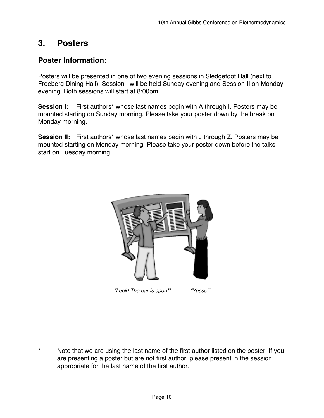## **3. Posters**

#### **Poster Information:**

Posters will be presented in one of two evening sessions in Sledgefoot Hall (next to Freeberg Dining Hall). Session I will be held Sunday evening and Session II on Monday evening. Both sessions will start at 8:00pm.

**Session I:** First authors\* whose last names begin with A through I. Posters may be mounted starting on Sunday morning. Please take your poster down by the break on Monday morning.

**Session II:** First authors<sup>\*</sup> whose last names begin with J through Z. Posters may be mounted starting on Monday morning. Please take your poster down before the talks start on Tuesday morning.



"Look! The bar is open!" "Yesss!"

\* Note that we are using the last name of the first author listed on the poster. If you are presenting a poster but are not first author, please present in the session appropriate for the last name of the first author.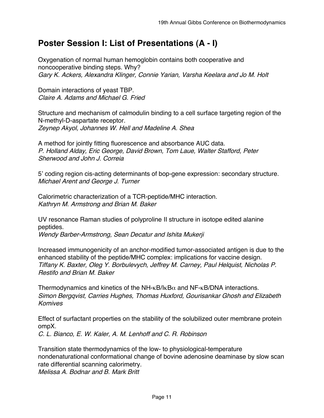# **Poster Session I: List of Presentations (A - I)**

Oxygenation of normal human hemoglobin contains both cooperative and noncooperative binding steps. Why? Gary K. Ackers, Alexandra Klinger, Connie Yarian, Varsha Keelara and Jo M. Holt

Domain interactions of yeast TBP. Claire A. Adams and Michael G. Fried

Structure and mechanism of calmodulin binding to a cell surface targeting region of the N-methyl-D-aspartate receptor. Zeynep Akyol, Johannes W. Hell and Madeline A. Shea

A method for jointly fitting fluorescence and absorbance AUC data. P. Holland Alday, Eric George, David Brown, Tom Laue, Walter Stafford, Peter Sherwood and John J. Correia

5' coding region cis-acting determinants of bop-gene expression: secondary structure. Michael Arent and George J. Turner

Calorimetric characterization of a TCR-peptide/MHC interaction. Kathryn M. Armstrong and Brian M. Baker

UV resonance Raman studies of polyproline II structure in isotope edited alanine peptides.

Wendy Barber-Armstrong, Sean Decatur and Ishita Mukerji

Increased immunogenicity of an anchor-modified tumor-associated antigen is due to the enhanced stability of the peptide/MHC complex: implications for vaccine design. Tiffany K. Baxter, Oleg Y. Borbulevych, Jeffrey M. Carney, Paul Helquist, Nicholas P. Restifo and Brian M. Baker

Thermodynamics and kinetics of the NH- $\kappa$ B/I $\kappa$ B $\alpha$  and NF- $\kappa$ B/DNA interactions. Simon Bergqvist, Carries Hughes, Thomas Huxford, Gourisankar Ghosh and Elizabeth Komives

Effect of surfactant properties on the stability of the solubilized outer membrane protein ompX.

C. L. Bianco, E. W. Kaler, A. M. Lenhoff and C. R. Robinson

Transition state thermodynamics of the low- to physiological-temperature nondenaturational conformational change of bovine adenosine deaminase by slow scan rate differential scanning calorimetry. Melissa A. Bodnar and B. Mark Britt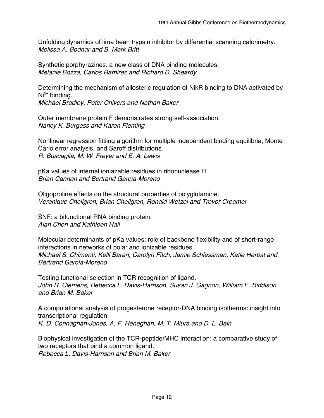Unfolding dynamics of lima bean trypsin inhibitor by differential scanning calorimetry. Melissa A. Bodnar and B. Mark Britt

Synthetic porphyrazines: a new class of DNA binding molecules. Melanie Bozza, Carlos Ramirez and Richard D. Sheardy

Determining the mechanism of allosteric regulation of NikR binding to DNA activated by Ni<sup>2+</sup> binding. Michael Bradley, Peter Chivers and Nathan Baker

Outer membrane protein F demonstrates strong self-association. Nancy K. Burgess and Karen Fleming

Nonlinear regression fittiing algorithm for multiple independent binding equilibria, Monte Carlo error analysis, and Saroff distributions. R. Buscaglia, M. W. Freyer and E. A. Lewis

pKa values of internal ioniazable residues in ribonuclease H. Brian Cannon and Bertrand García-Moreno

Oligoproline effects on the structural properties of polyglutamine. Veronique Chellgren, Brian Chellgren, Ronald Wetzel and Trevor Creamer

SNF: a bifunctional RNA binding protein. Alan Chen and Kathleen Hall

Molecular determinants of pKa values: role of backbone flexibility and of short-range interactions in networks of polar and ionizable residues. Michael S. Chimenti, Kelli Baran, Carolyn Fitch, Jamie Schlessman, Katie Herbst and Bertrand García-Moreno

Testing functional selection in TCR recognition of ligand. John R. Clemens, Rebecca L. Davis-Harrison, Susan J. Gagnon, William E. Biddison and Brian M. Baker

A computational analysis of progesterone receptor-DNA binding isotherms: insight into transcriptional regulation. K. D. Connaghan-Jones, A. F. Heneghan, M. T. Miura and D. L. Bain

Biophysical investigation of the TCR-peptide/MHC interaction: a comparative study of two receptors that bind a common ligand. Rebecca L. Davis-Harrison and Brian M. Baker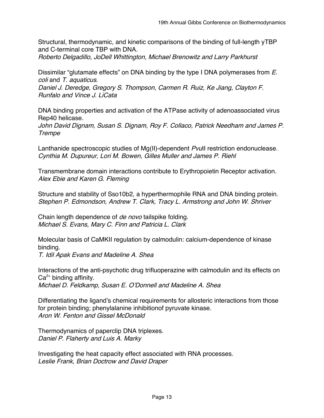Structural, thermodynamic, and kinetic comparisons of the binding of full-length yTBP and C-terminal core TBP with DNA.

Roberto Delgadillo, JoDell Whittington, Michael Brenowitz and Larry Parkhurst

Dissimilar "glutamate effects" on DNA binding by the type I DNA polymerases from E. coli and T. aquaticus.

Daniel J. Deredge, Gregory S. Thompson, Carmen R. Ruiz, Ke Jiang, Clayton F. Runfalo and Vince J. LiCata

DNA binding properties and activation of the ATPase activity of adenoassociated virus Rep40 helicase.

John David Dignam, Susan S. Dignam, Roy F. Collaco, Patrick Needham and James P. **Trempe** 

Lanthanide spectroscopic studies of Mg(II)-dependent Pvull restriction endonuclease. Cynthia M. Dupureur, Lori M. Bowen, Gilles Muller and James P. Riehl

Transmembrane domain interactions contribute to Erythropoietin Receptor activation. Alex Ebie and Karen G. Fleming

Structure and stability of Sso10b2, a hyperthermophile RNA and DNA binding protein. Stephen P. Edmondson, Andrew T. Clark, Tracy L. Armstrong and John W. Shriver

Chain length dependence of de novo tailspike folding. Michael S. Evans, Mary C. Finn and Patricia L. Clark

Molecular basis of CaMKII regulation by calmodulin: calcium-dependence of kinase binding.

T. Idil Apak Evans and Madeline A. Shea

Interactions of the anti-psychotic drug trifluoperazine with calmodulin and its effects on  $Ca<sup>2+</sup>$  binding affinity. Michael D. Feldkamp, Susan E. O'Donnell and Madeline A. Shea

Differentiating the ligand's chemical requirements for allosteric interactions from those for protein binding; phenylalanine inhibitionof pyruvate kinase. Aron W. Fenton and Gissel McDonald

Thermodynamics of paperclip DNA triplexes. Daniel P. Flaherty and Luis A. Marky

Investigating the heat capacity effect associated with RNA processes. Leslie Frank, Brian Doctrow and David Draper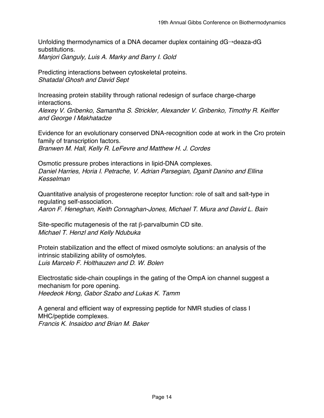Unfolding thermodynamics of a DNA decamer duplex containing  $dG\rightarrow deaza-dG$ substitutions. Manjori Ganguly, Luis A. Marky and Barry I. Gold

Predicting interactions between cytoskeletal proteins. Shatadal Ghosh and David Sept

Increasing protein stability through rational redesign of surface charge-charge interactions. Alexey V. Gribenko, Samantha S. Strickler, Alexander V. Gribenko, Timothy R. Keiffer and George I Makhatadze

Evidence for an evolutionary conserved DNA-recognition code at work in the Cro protein family of transcription factors. Branwen M. Hall, Kelly R. LeFevre and Matthew H. J. Cordes

Osmotic pressure probes interactions in lipid-DNA complexes. Daniel Harries, Horia I. Petrache, V. Adrian Parsegian, Dganit Danino and Ellina Kesselman

Quantitative analysis of progesterone receptor function: role of salt and salt-type in regulating self-association.

Aaron F. Heneghan, Keith Connaghan-Jones, Michael T. Miura and David L. Bain

Site-specific mutagenesis of the rat β-parvalbumin CD site. Michael T. Henzl and Kelly Ndubuka

Protein stabilization and the effect of mixed osmolyte solutions: an analysis of the intrinsic stabilizing ability of osmolytes. Luis Marcelo F. Holthauzen and D. W. Bolen

Electrostatic side-chain couplings in the gating of the OmpA ion channel suggest a mechanism for pore opening. Heedeok Hong, Gabor Szabo and Lukas K. Tamm

A general and efficient way of expressing peptide for NMR studies of class I MHC/peptide complexes. Francis K. Insaidoo and Brian M. Baker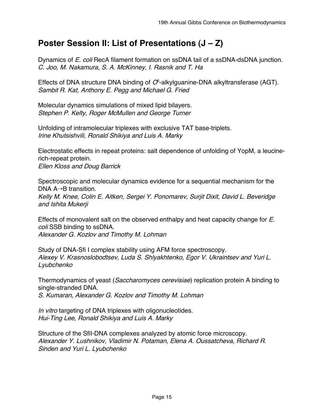# **Poster Session II: List of Presentations (J – Z)**

Dynamics of E. coli RecA filament formation on ssDNA tail of a ssDNA-dsDNA junction. C. Joo, M. Nakamura, S. A. McKinney, I. Rasnik and T. Ha

Effects of DNA structure DNA binding of  $O^6$ -alkylguanine-DNA alkyltransferase (AGT). Sambit R. Kat, Anthony E. Pegg and Michael G. Fried

Molecular dynamics simulations of mixed lipid bilayers. Stephen P. Kelty, Roger McMullen and George Turner

Unfolding of intramolecular triplexes with exclusive TAT base-triplets. Irine Khutsishvili, Ronald Shikiya and Luis A. Marky

Electrostatic effects in repeat proteins: salt dependence of unfolding of YopM, a leucinerich-repeat protein. Ellen Kloss and Doug Barrick

Spectroscopic and molecular dynamics evidence for a sequential mechanism for the DNA  $A \rightarrow B$  transition. Kelly M. Knee, Colin E. Aitken, Sergei Y. Ponomarev, Surjit Dixit, David L. Beveridge and Ishita Mukerji

Effects of monovalent salt on the observed enthalpy and heat capacity change for E. coli SSB binding to ssDNA. Alexander G. Kozlov and Timothy M. Lohman

Study of DNA-Sfi I complex stability using AFM force spectroscopy. Alexey V. Krasnoslobodtsev, Luda S. Shlyakhtenko, Egor V. Ukraintsev and Yuri L. Lyubchenko

Thermodynamics of yeast (Saccharomyces cerevisiae) replication protein A binding to single-stranded DNA.

S. Kumaran, Alexander G. Kozlov and Timothy M. Lohman

In vitro targeting of DNA triplexes with oligonucleotides. Hui-Ting Lee, Ronald Shikiya and Luis A. Marky

Structure of the SfiI-DNA complexes analyzed by atomic force microscopy. Alexander Y. Lushnikov, Vladimir N. Potaman, Elena A. Oussatcheva, Richard R. Sinden and Yuri L. Lyubchenko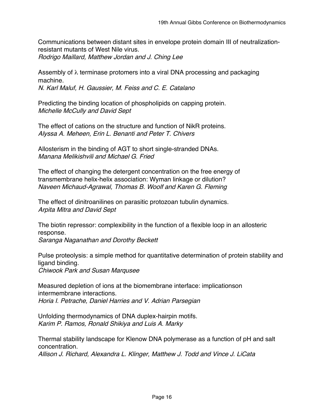Communications between distant sites in envelope protein domain III of neutralizationresistant mutants of West Nile virus. Rodrigo Maillard, Matthew Jordan and J. Ching Lee

Assembly of  $\lambda$  terminase protomers into a viral DNA processing and packaging machine.

N. Karl Maluf, H. Gaussier, M. Feiss and C. E. Catalano

Predicting the binding location of phospholipids on capping protein. Michelle McCully and David Sept

The effect of cations on the structure and function of NikR proteins. Alyssa A. Meheen, Erin L. Benanti and Peter T. Chivers

Allosterism in the binding of AGT to short single-stranded DNAs. Manana Melikishvili and Michael G. Fried

The effect of changing the detergent concentration on the free energy of transmembrane helix-helix association: Wyman linkage or dilution? Naveen Michaud-Agrawal, Thomas B. Woolf and Karen G. Fleming

The effect of dinitroanilines on parasitic protozoan tubulin dynamics. Arpita Mitra and David Sept

The biotin repressor: complexibility in the function of a flexible loop in an allosteric response.

Saranga Naganathan and Dorothy Beckett

Pulse proteolysis: a simple method for quantitative determination of protein stability and ligand binding. Chiwook Park and Susan Marqusee

Measured depletion of ions at the biomembrane interface: implicationson intermembrane interactions. Horia I. Petrache, Daniel Harries and V. Adrian Parsegian

Unfolding thermodynamics of DNA duplex-hairpin motifs. Karim P. Ramos, Ronald Shikiya and Luis A. Marky

Thermal stability landscape for Klenow DNA polymerase as a function of pH and salt concentration. Allison J. Richard, Alexandra L. Klinger, Matthew J. Todd and Vince J. LiCata